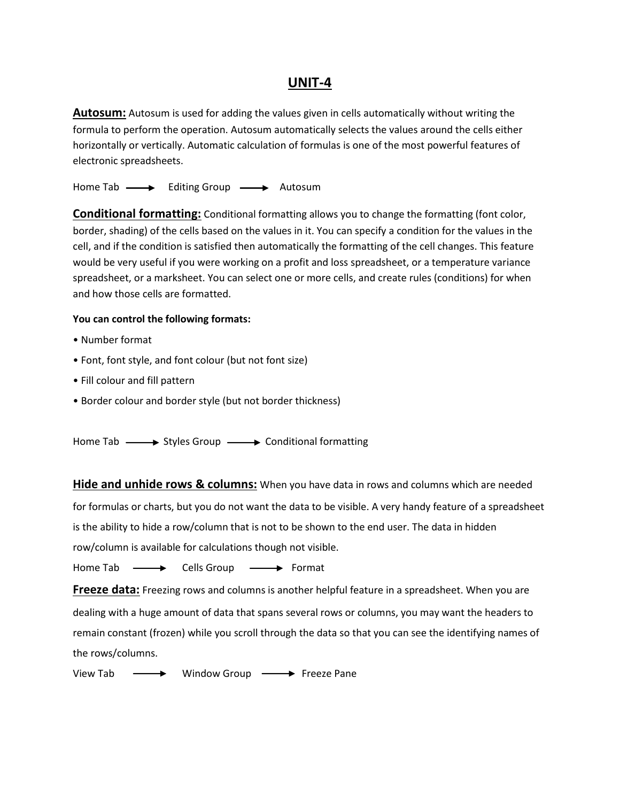# **UNIT-4**

**Autosum:** Autosum is used for adding the values given in cells automatically without writing the formula to perform the operation. Autosum automatically selects the values around the cells either horizontally or vertically. Automatic calculation of formulas is one of the most powerful features of electronic spreadsheets.

Home Tab  $\longrightarrow$  Editing Group  $\longrightarrow$  Autosum

**Conditional formatting:** Conditional formatting allows you to change the formatting (font color, border, shading) of the cells based on the values in it. You can specify a condition for the values in the cell, and if the condition is satisfied then automatically the formatting of the cell changes. This feature would be very useful if you were working on a profit and loss spreadsheet, or a temperature variance spreadsheet, or a marksheet. You can select one or more cells, and create rules (conditions) for when and how those cells are formatted.

### **You can control the following formats:**

- Number format
- Font, font style, and font colour (but not font size)
- Fill colour and fill pattern
- Border colour and border style (but not border thickness)

Home Tab  $\longrightarrow$  Styles Group  $\longrightarrow$  Conditional formatting

**Hide and unhide rows & columns:** When you have data in rows and columns which are needed for formulas or charts, but you do not want the data to be visible. A very handy feature of a spreadsheet is the ability to hide a row/column that is not to be shown to the end user. The data in hidden row/column is available for calculations though not visible.

Home Tab  $\longrightarrow$  Cells Group  $\longrightarrow$  Format

**Freeze data:** Freezing rows and columns is another helpful feature in a spreadsheet. When you are dealing with a huge amount of data that spans several rows or columns, you may want the headers to remain constant (frozen) while you scroll through the data so that you can see the identifying names of the rows/columns.

View Tab  $\longrightarrow$  Window Group  $\longrightarrow$  Freeze Pane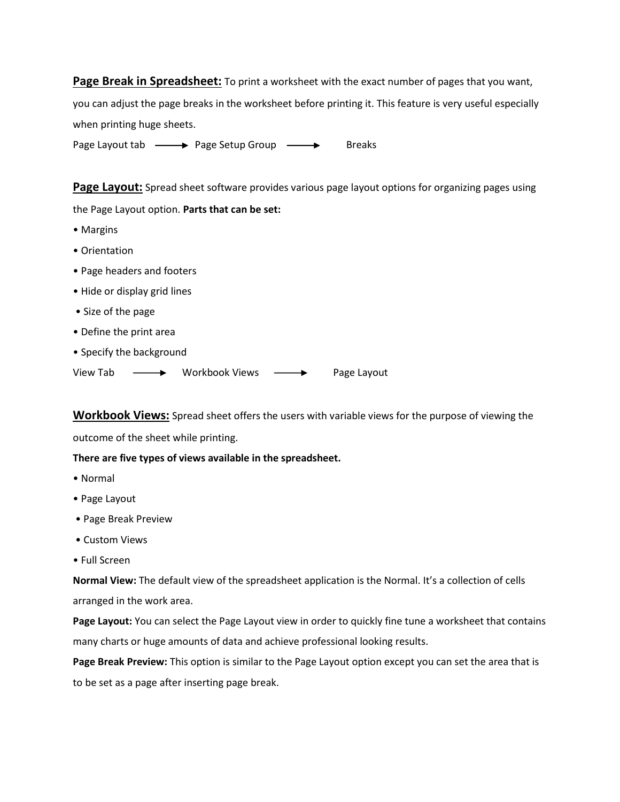**Page Break in Spreadsheet:** To print a worksheet with the exact number of pages that you want,

you can adjust the page breaks in the worksheet before printing it. This feature is very useful especially when printing huge sheets.

Page Layout tab  $\longrightarrow$  Page Setup Group  $\longrightarrow$  Breaks

**Page Layout:** Spread sheet software provides various page layout options for organizing pages using

the Page Layout option. **Parts that can be set:**

- Margins
- Orientation
- Page headers and footers
- Hide or display grid lines
- Size of the page
- Define the print area
- Specify the background

View Tab  $\longrightarrow$  Workbook Views  $\longrightarrow$  Page Layout

**Workbook Views:** Spread sheet offers the users with variable views for the purpose of viewing the

outcome of the sheet while printing.

#### **There are five types of views available in the spreadsheet.**

- Normal
- Page Layout
- Page Break Preview
- Custom Views
- Full Screen

**Normal View:** The default view of the spreadsheet application is the Normal. It's a collection of cells arranged in the work area.

**Page Layout:** You can select the Page Layout view in order to quickly fine tune a worksheet that contains many charts or huge amounts of data and achieve professional looking results.

**Page Break Preview:** This option is similar to the Page Layout option except you can set the area that is to be set as a page after inserting page break.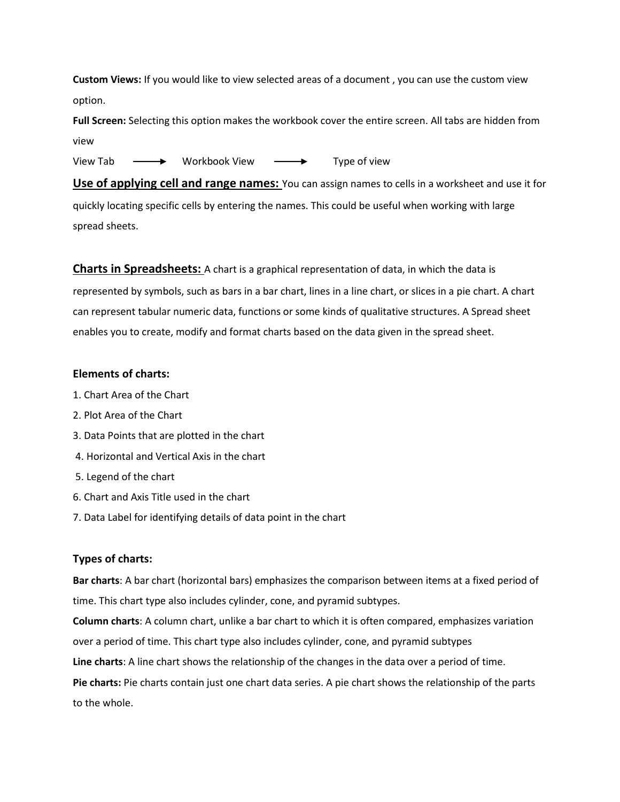**Custom Views:** If you would like to view selected areas of a document , you can use the custom view option.

**Full Screen:** Selecting this option makes the workbook cover the entire screen. All tabs are hidden from view

View Tab  $\longrightarrow$  Workbook View  $\longrightarrow$  Type of view

**Use of applying cell and range names:** You can assign names to cells in a worksheet and use it for quickly locating specific cells by entering the names. This could be useful when working with large spread sheets.

**Charts in Spreadsheets:** A chart is a graphical representation of data, in which the data is represented by symbols, such as bars in a bar chart, lines in a line chart, or slices in a pie chart. A chart can represent tabular numeric data, functions or some kinds of qualitative structures. A Spread sheet enables you to create, modify and format charts based on the data given in the spread sheet.

#### **Elements of charts:**

- 1. Chart Area of the Chart
- 2. Plot Area of the Chart
- 3. Data Points that are plotted in the chart
- 4. Horizontal and Vertical Axis in the chart
- 5. Legend of the chart
- 6. Chart and Axis Title used in the chart
- 7. Data Label for identifying details of data point in the chart

## **Types of charts:**

**Bar charts**: A bar chart (horizontal bars) emphasizes the comparison between items at a fixed period of time. This chart type also includes cylinder, cone, and pyramid subtypes.

**Column charts**: A column chart, unlike a bar chart to which it is often compared, emphasizes variation over a period of time. This chart type also includes cylinder, cone, and pyramid subtypes

**Line charts**: A line chart shows the relationship of the changes in the data over a period of time.

**Pie charts:** Pie charts contain just one chart data series. A pie chart shows the relationship of the parts to the whole.